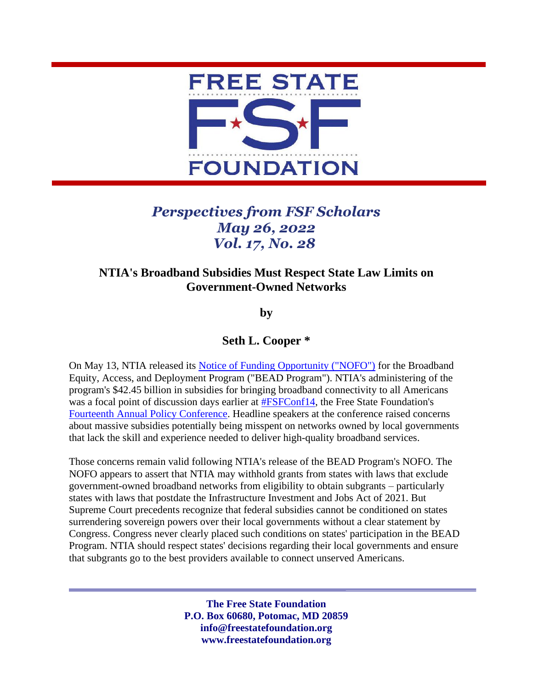

## *Perspectives from FSF Scholars May 26, 2022 Vol. 17, No. 28*

## **NTIA's Broadband Subsidies Must Respect State Law Limits on Government-Owned Networks**

**by**

## **Seth L. Cooper \***

On May 13, NTIA released its [Notice of Funding Opportunity \("NOFO"\)](https://broadbandusa.ntia.doc.gov/sites/default/files/2022-05/BEAD%20NOFO.pdf) for the Broadband Equity, Access, and Deployment Program ("BEAD Program"). NTIA's administering of the program's \$42.45 billion in subsidies for bringing broadband connectivity to all Americans was a focal point of discussion days earlier at [#FSFConf14,](https://www.youtube.com/watch?v=ODwKq6jPrDM&t=19s) the Free State Foundation's [Fourteenth Annual Policy Conference.](https://www.youtube.com/watch?v=ODwKq6jPrDM&t=19s) Headline speakers at the conference raised concerns about massive subsidies potentially being misspent on networks owned by local governments that lack the skill and experience needed to deliver high-quality broadband services.

Those concerns remain valid following NTIA's release of the BEAD Program's NOFO. The NOFO appears to assert that NTIA may withhold grants from states with laws that exclude government-owned broadband networks from eligibility to obtain subgrants – particularly states with laws that postdate the Infrastructure Investment and Jobs Act of 2021. But Supreme Court precedents recognize that federal subsidies cannot be conditioned on states surrendering sovereign powers over their local governments without a clear statement by Congress. Congress never clearly placed such conditions on states' participation in the BEAD Program. NTIA should respect states' decisions regarding their local governments and ensure that subgrants go to the best providers available to connect unserved Americans.

> **The Free State Foundation P.O. Box 60680, Potomac, MD 20859 info@freestatefoundation.org www.freestatefoundation.org**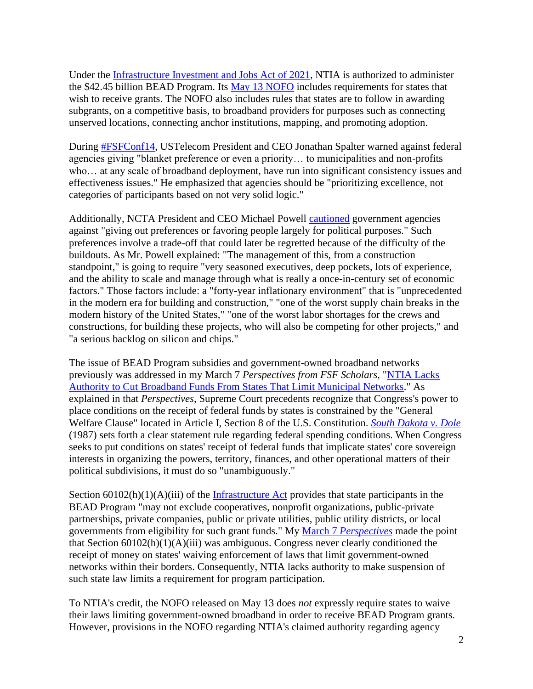Under the [Infrastructure Investment and Jobs Act of 2021,](https://www.congress.gov/117/plaws/publ58/PLAW-117publ58.pdf) NTIA is authorized to administer the \$42.45 billion BEAD Program. Its [May 13 NOFO](https://broadbandusa.ntia.doc.gov/sites/default/files/2022-05/BEAD%20NOFO.pdf) includes requirements for states that wish to receive grants. The NOFO also includes rules that states are to follow in awarding subgrants, on a competitive basis, to broadband providers for purposes such as connecting unserved locations, connecting anchor institutions, mapping, and promoting adoption.

During [#FSFConf14,](https://www.youtube.com/watch?v=ODwKq6jPrDM&t=19s) USTelecom President and CEO Jonathan Spalter warned against federal agencies giving "blanket preference or even a priority… to municipalities and non-profits who… at any scale of broadband deployment, have run into significant consistency issues and effectiveness issues." He emphasized that agencies should be "prioritizing excellence, not categories of participants based on not very solid logic."

Additionally, NCTA President and CEO Michael Powell [cautioned](https://www.youtube.com/watch?v=ODwKq6jPrDM&t=19s) government agencies against "giving out preferences or favoring people largely for political purposes." Such preferences involve a trade-off that could later be regretted because of the difficulty of the buildouts. As Mr. Powell explained: "The management of this, from a construction standpoint," is going to require "very seasoned executives, deep pockets, lots of experience, and the ability to scale and manage through what is really a once-in-century set of economic factors." Those factors include: a "forty-year inflationary environment" that is "unprecedented in the modern era for building and construction," "one of the worst supply chain breaks in the modern history of the United States," "one of the worst labor shortages for the crews and constructions, for building these projects, who will also be competing for other projects," and "a serious backlog on silicon and chips."

The issue of BEAD Program subsidies and government-owned broadband networks previously was addressed in my March 7 *Perspectives from FSF Scholars*, ["NTIA Lacks](https://freestatefoundation.org/wp-content/uploads/2022/03/NTIA-Lacks-Authority-to-Cut-Broadband-Funds-From-States-That-Limit-Municipal-Networks-030722.pdf)  [Authority to Cut Broadband Funds From States That Limit Municipal Networks.](https://freestatefoundation.org/wp-content/uploads/2022/03/NTIA-Lacks-Authority-to-Cut-Broadband-Funds-From-States-That-Limit-Municipal-Networks-030722.pdf)" As explained in that *Perspectives*, Supreme Court precedents recognize that Congress's power to place conditions on the receipt of federal funds by states is constrained by the "General Welfare Clause" located in Article I, Section 8 of the U.S. Constitution. *[South Dakota v. Dole](https://supreme.justia.com/cases/federal/us/483/203/)* (1987) sets forth a clear statement rule regarding federal spending conditions. When Congress seeks to put conditions on states' receipt of federal funds that implicate states' core sovereign interests in organizing the powers, territory, finances, and other operational matters of their political subdivisions, it must do so "unambiguously."

Section  $60102(h)(1)(A)(iii)$  of the [Infrastructure Act](https://www.congress.gov/117/plaws/publ58/PLAW-117publ58.pdf) provides that state participants in the BEAD Program "may not exclude cooperatives, nonprofit organizations, public-private partnerships, private companies, public or private utilities, public utility districts, or local governments from eligibility for such grant funds." My March 7 *[Perspectives](https://freestatefoundation.org/wp-content/uploads/2022/03/NTIA-Lacks-Authority-to-Cut-Broadband-Funds-From-States-That-Limit-Municipal-Networks-030722.pdf)* made the point that Section 60102(h)(1)(A)(iii) was ambiguous. Congress never clearly conditioned the receipt of money on states' waiving enforcement of laws that limit government-owned networks within their borders. Consequently, NTIA lacks authority to make suspension of such state law limits a requirement for program participation.

To NTIA's credit, the NOFO released on May 13 does *not* expressly require states to waive their laws limiting government-owned broadband in order to receive BEAD Program grants. However, provisions in the NOFO regarding NTIA's claimed authority regarding agency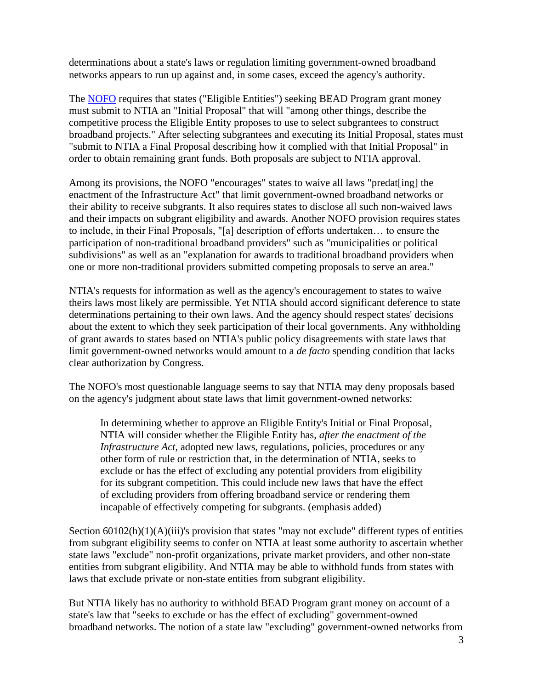determinations about a state's laws or regulation limiting government-owned broadband networks appears to run up against and, in some cases, exceed the agency's authority.

The [NOFO](https://broadbandusa.ntia.doc.gov/sites/default/files/2022-05/BEAD%20NOFO.pdf) requires that states ("Eligible Entities") seeking BEAD Program grant money must submit to NTIA an "Initial Proposal" that will "among other things, describe the competitive process the Eligible Entity proposes to use to select subgrantees to construct broadband projects." After selecting subgrantees and executing its Initial Proposal, states must "submit to NTIA a Final Proposal describing how it complied with that Initial Proposal" in order to obtain remaining grant funds. Both proposals are subject to NTIA approval.

Among its provisions, the NOFO "encourages" states to waive all laws "predat[ing] the enactment of the Infrastructure Act" that limit government-owned broadband networks or their ability to receive subgrants. It also requires states to disclose all such non-waived laws and their impacts on subgrant eligibility and awards. Another NOFO provision requires states to include, in their Final Proposals, "[a] description of efforts undertaken… to ensure the participation of non-traditional broadband providers" such as "municipalities or political subdivisions" as well as an "explanation for awards to traditional broadband providers when one or more non-traditional providers submitted competing proposals to serve an area."

NTIA's requests for information as well as the agency's encouragement to states to waive theirs laws most likely are permissible. Yet NTIA should accord significant deference to state determinations pertaining to their own laws. And the agency should respect states' decisions about the extent to which they seek participation of their local governments. Any withholding of grant awards to states based on NTIA's public policy disagreements with state laws that limit government-owned networks would amount to a *de facto* spending condition that lacks clear authorization by Congress.

The NOFO's most questionable language seems to say that NTIA may deny proposals based on the agency's judgment about state laws that limit government-owned networks:

In determining whether to approve an Eligible Entity's Initial or Final Proposal, NTIA will consider whether the Eligible Entity has, *after the enactment of the Infrastructure Act*, adopted new laws, regulations, policies, procedures or any other form of rule or restriction that, in the determination of NTIA, seeks to exclude or has the effect of excluding any potential providers from eligibility for its subgrant competition. This could include new laws that have the effect of excluding providers from offering broadband service or rendering them incapable of effectively competing for subgrants. (emphasis added)

Section 60102(h)(1)(A)(iii)'s provision that states "may not exclude" different types of entities from subgrant eligibility seems to confer on NTIA at least some authority to ascertain whether state laws "exclude" non-profit organizations, private market providers, and other non-state entities from subgrant eligibility. And NTIA may be able to withhold funds from states with laws that exclude private or non-state entities from subgrant eligibility.

But NTIA likely has no authority to withhold BEAD Program grant money on account of a state's law that "seeks to exclude or has the effect of excluding" government-owned broadband networks. The notion of a state law "excluding" government-owned networks from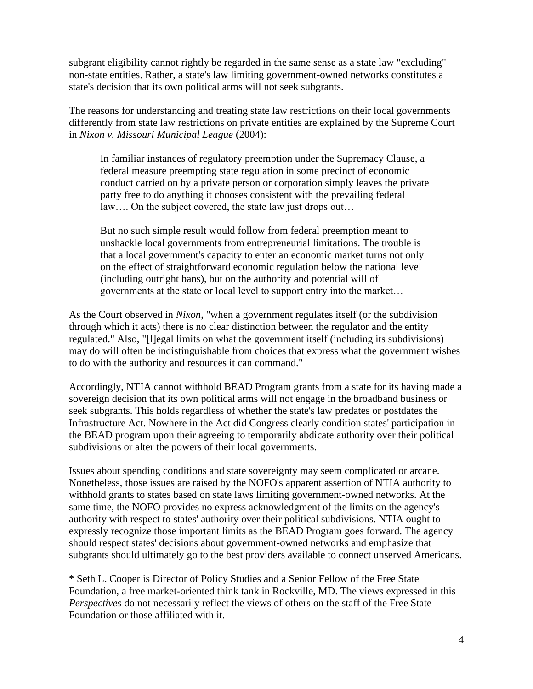subgrant eligibility cannot rightly be regarded in the same sense as a state law "excluding" non-state entities. Rather, a state's law limiting government-owned networks constitutes a state's decision that its own political arms will not seek subgrants.

The reasons for understanding and treating state law restrictions on their local governments differently from state law restrictions on private entities are explained by the Supreme Court in *Nixon v. Missouri Municipal League* (2004):

In familiar instances of regulatory preemption under the Supremacy Clause, a federal measure preempting state regulation in some precinct of economic conduct carried on by a private person or corporation simply leaves the private party free to do anything it chooses consistent with the prevailing federal law.... On the subject covered, the state law just drops out...

But no such simple result would follow from federal preemption meant to unshackle local governments from entrepreneurial limitations. The trouble is that a local government's capacity to enter an economic market turns not only on the effect of straightforward economic regulation below the national level (including outright bans), but on the authority and potential will of governments at the state or local level to support entry into the market…

As the Court observed in *Nixon*, "when a government regulates itself (or the subdivision through which it acts) there is no clear distinction between the regulator and the entity regulated." Also, "[l]egal limits on what the government itself (including its subdivisions) may do will often be indistinguishable from choices that express what the government wishes to do with the authority and resources it can command."

Accordingly, NTIA cannot withhold BEAD Program grants from a state for its having made a sovereign decision that its own political arms will not engage in the broadband business or seek subgrants. This holds regardless of whether the state's law predates or postdates the Infrastructure Act. Nowhere in the Act did Congress clearly condition states' participation in the BEAD program upon their agreeing to temporarily abdicate authority over their political subdivisions or alter the powers of their local governments.

Issues about spending conditions and state sovereignty may seem complicated or arcane. Nonetheless, those issues are raised by the NOFO's apparent assertion of NTIA authority to withhold grants to states based on state laws limiting government-owned networks. At the same time, the NOFO provides no express acknowledgment of the limits on the agency's authority with respect to states' authority over their political subdivisions. NTIA ought to expressly recognize those important limits as the BEAD Program goes forward. The agency should respect states' decisions about government-owned networks and emphasize that subgrants should ultimately go to the best providers available to connect unserved Americans.

\* Seth L. Cooper is Director of Policy Studies and a Senior Fellow of the Free State Foundation, a free market-oriented think tank in Rockville, MD. The views expressed in this *Perspectives* do not necessarily reflect the views of others on the staff of the Free State Foundation or those affiliated with it.